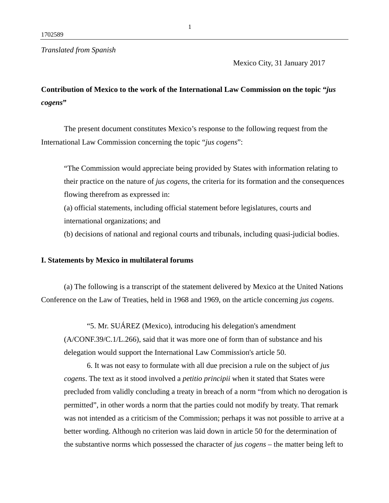*Translated from Spanish* 

Mexico City, 31 January 2017

**Contribution of Mexico to the work of the International Law Commission on the topic "***jus cogens***"** 

 The present document constitutes Mexico's response to the following request from the International Law Commission concerning the topic "*jus cogens*":

"The Commission would appreciate being provided by States with information relating to their practice on the nature of *jus cogens*, the criteria for its formation and the consequences flowing therefrom as expressed in:

(a) official statements, including official statement before legislatures, courts and international organizations; and

(b) decisions of national and regional courts and tribunals, including quasi-judicial bodies.

## **I. Statements by Mexico in multilateral forums**

 (a) The following is a transcript of the statement delivered by Mexico at the United Nations Conference on the Law of Treaties, held in 1968 and 1969, on the article concerning *jus cogens*.

 "5. Mr. SUÁREZ (Mexico), introducing his delegation's amendment (A/CONF.39/C.1/L.266), said that it was more one of form than of substance and his delegation would support the International Law Commission's article 50.

 6. It was not easy to formulate with all due precision a rule on the subject of *jus cogens*. The text as it stood involved a *petitio principii* when it stated that States were precluded from validly concluding a treaty in breach of a norm "from which no derogation is permitted", in other words a norm that the parties could not modify by treaty. That remark was not intended as a criticism of the Commission; perhaps it was not possible to arrive at a better wording. Although no criterion was laid down in article 50 for the determination of the substantive norms which possessed the character of *jus cogens* – the matter being left to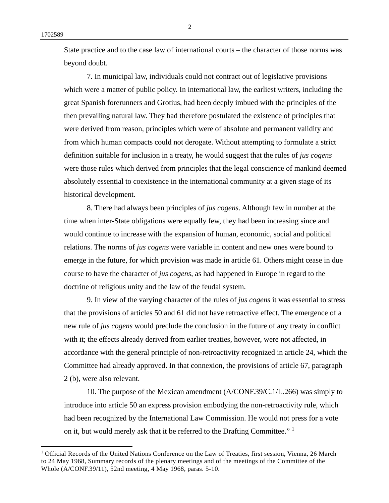State practice and to the case law of international courts – the character of those norms was beyond doubt.

 7. In municipal law, individuals could not contract out of legislative provisions which were a matter of public policy. In international law, the earliest writers, including the great Spanish forerunners and Grotius, had been deeply imbued with the principles of the then prevailing natural law. They had therefore postulated the existence of principles that were derived from reason, principles which were of absolute and permanent validity and from which human compacts could not derogate. Without attempting to formulate a strict definition suitable for inclusion in a treaty, he would suggest that the rules of *jus cogens* were those rules which derived from principles that the legal conscience of mankind deemed absolutely essential to coexistence in the international community at a given stage of its historical development.

 8. There had always been principles of *jus cogens*. Although few in number at the time when inter-State obligations were equally few, they had been increasing since and would continue to increase with the expansion of human, economic, social and political relations. The norms of *jus cogens* were variable in content and new ones were bound to emerge in the future, for which provision was made in article 61. Others might cease in due course to have the character of *jus cogens*, as had happened in Europe in regard to the doctrine of religious unity and the law of the feudal system.

 9. In view of the varying character of the rules of *jus cogens* it was essential to stress that the provisions of articles 50 and 61 did not have retroactive effect. The emergence of a new rule of *jus cogens* would preclude the conclusion in the future of any treaty in conflict with it; the effects already derived from earlier treaties, however, were not affected, in accordance with the general principle of non-retroactivity recognized in article 24, which the Committee had already approved. In that connexion, the provisions of article 67, paragraph 2 (b), were also relevant.

 10. The purpose of the Mexican amendment (A/CONF.39/C.1/L.266) was simply to introduce into article 50 an express provision embodying the non-retroactivity rule, which had been recognized by the International Law Commission. He would not press for a vote on it, but would merely ask that it be referred to the Drafting Committee." <sup>1</sup>

<sup>&</sup>lt;sup>1</sup> Official Records of the United Nations Conference on the Law of Treaties, first session, Vienna, 26 March to 24 May 1968, Summary records of the plenary meetings and of the meetings of the Committee of the Whole (A/CONF.39/11), 52nd meeting, 4 May 1968, paras. 5-10.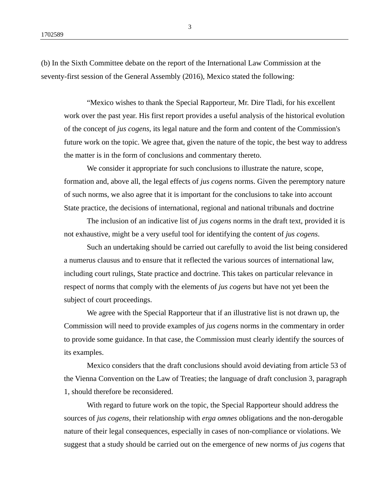1702589

(b) In the Sixth Committee debate on the report of the International Law Commission at the seventy-first session of the General Assembly (2016), Mexico stated the following:

 "Mexico wishes to thank the Special Rapporteur, Mr. Dire Tladi, for his excellent work over the past year. His first report provides a useful analysis of the historical evolution of the concept of *jus cogens*, its legal nature and the form and content of the Commission's future work on the topic. We agree that, given the nature of the topic, the best way to address the matter is in the form of conclusions and commentary thereto.

 We consider it appropriate for such conclusions to illustrate the nature, scope, formation and, above all, the legal effects of *jus cogens* norms. Given the peremptory nature of such norms, we also agree that it is important for the conclusions to take into account State practice, the decisions of international, regional and national tribunals and doctrine

 The inclusion of an indicative list of *jus cogens* norms in the draft text, provided it is not exhaustive, might be a very useful tool for identifying the content of *jus cogens*.

 Such an undertaking should be carried out carefully to avoid the list being considered a numerus clausus and to ensure that it reflected the various sources of international law, including court rulings, State practice and doctrine. This takes on particular relevance in respect of norms that comply with the elements of *jus cogens* but have not yet been the subject of court proceedings.

 We agree with the Special Rapporteur that if an illustrative list is not drawn up, the Commission will need to provide examples of *jus cogens* norms in the commentary in order to provide some guidance. In that case, the Commission must clearly identify the sources of its examples.

 Mexico considers that the draft conclusions should avoid deviating from article 53 of the Vienna Convention on the Law of Treaties; the language of draft conclusion 3, paragraph 1, should therefore be reconsidered.

 With regard to future work on the topic, the Special Rapporteur should address the sources of *jus cogens*, their relationship with *erga omnes* obligations and the non-derogable nature of their legal consequences, especially in cases of non-compliance or violations. We suggest that a study should be carried out on the emergence of new norms of *jus cogens* that

3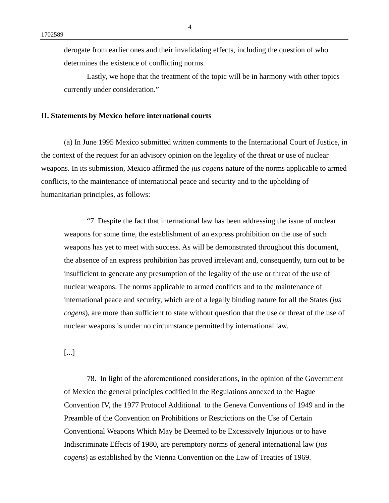derogate from earlier ones and their invalidating effects, including the question of who determines the existence of conflicting norms.

 Lastly, we hope that the treatment of the topic will be in harmony with other topics currently under consideration."

### **II. Statements by Mexico before international courts**

 (a) In June 1995 Mexico submitted written comments to the International Court of Justice, in the context of the request for an advisory opinion on the legality of the threat or use of nuclear weapons. In its submission, Mexico affirmed the *jus cogens* nature of the norms applicable to armed conflicts, to the maintenance of international peace and security and to the upholding of humanitarian principles, as follows:

 "7. Despite the fact that international law has been addressing the issue of nuclear weapons for some time, the establishment of an express prohibition on the use of such weapons has yet to meet with success. As will be demonstrated throughout this document, the absence of an express prohibition has proved irrelevant and, consequently, turn out to be insufficient to generate any presumption of the legality of the use or threat of the use of nuclear weapons. The norms applicable to armed conflicts and to the maintenance of international peace and security, which are of a legally binding nature for all the States (*jus cogens*), are more than sufficient to state without question that the use or threat of the use of nuclear weapons is under no circumstance permitted by international law.

[...]

 78. In light of the aforementioned considerations, in the opinion of the Government of Mexico the general principles codified in the Regulations annexed to the Hague Convention IV, the 1977 Protocol Additional to the Geneva Conventions of 1949 and in the Preamble of the Convention on Prohibitions or Restrictions on the Use of Certain Conventional Weapons Which May be Deemed to be Excessively Injurious or to have Indiscriminate Effects of 1980, are peremptory norms of general international law (*jus cogens*) as established by the Vienna Convention on the Law of Treaties of 1969.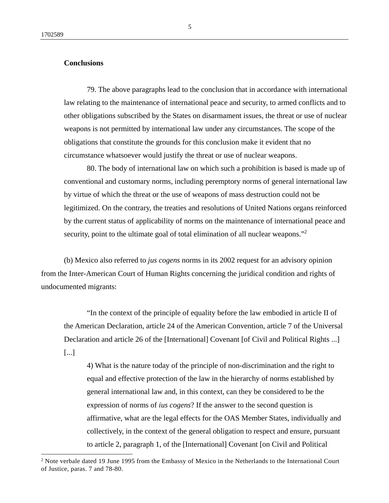# **Conclusions**

 79. The above paragraphs lead to the conclusion that in accordance with international law relating to the maintenance of international peace and security, to armed conflicts and to other obligations subscribed by the States on disarmament issues, the threat or use of nuclear weapons is not permitted by international law under any circumstances. The scope of the obligations that constitute the grounds for this conclusion make it evident that no circumstance whatsoever would justify the threat or use of nuclear weapons.

 80. The body of international law on which such a prohibition is based is made up of conventional and customary norms, including peremptory norms of general international law by virtue of which the threat or the use of weapons of mass destruction could not be legitimized. On the contrary, the treaties and resolutions of United Nations organs reinforced by the current status of applicability of norms on the maintenance of international peace and security, point to the ultimate goal of total elimination of all nuclear weapons."<sup>2</sup>

 (b) Mexico also referred to *jus cogens* norms in its 2002 request for an advisory opinion from the Inter-American Court of Human Rights concerning the juridical condition and rights of undocumented migrants:

 "In the context of the principle of equality before the law embodied in article II of the American Declaration, article 24 of the American Convention, article 7 of the Universal Declaration and article 26 of the [International] Covenant [of Civil and Political Rights ...] [...]

4) What is the nature today of the principle of non-discrimination and the right to equal and effective protection of the law in the hierarchy of norms established by general international law and, in this context, can they be considered to be the expression of norms of *ius cogens*? If the answer to the second question is affirmative, what are the legal effects for the OAS Member States, individually and collectively, in the context of the general obligation to respect and ensure, pursuant to article 2, paragraph 1, of the [International] Covenant [on Civil and Political

<sup>&</sup>lt;sup>2</sup> Note verbale dated 19 June 1995 from the Embassy of Mexico in the Netherlands to the International Court of Justice, paras. 7 and 78-80.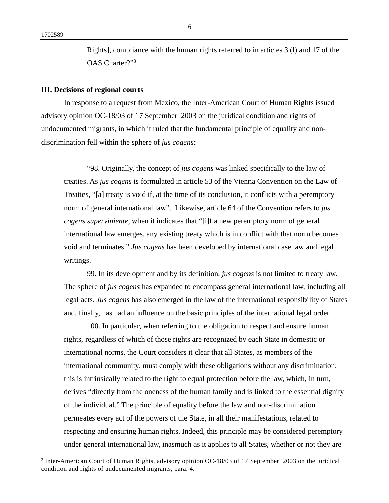Rights], compliance with the human rights referred to in articles 3 (l) and 17 of the OAS Charter?"3

#### **III. Decisions of regional courts**

 In response to a request from Mexico, the Inter-American Court of Human Rights issued advisory opinion OC-18/03 of 17 September 2003 on the juridical condition and rights of undocumented migrants, in which it ruled that the fundamental principle of equality and nondiscrimination fell within the sphere of *jus cogens*:

 "98. Originally, the concept of *jus cogens* was linked specifically to the law of treaties. As *jus cogens* is formulated in article 53 of the Vienna Convention on the Law of Treaties, "[a] treaty is void if, at the time of its conclusion, it conflicts with a peremptory norm of general international law". Likewise, article 64 of the Convention refers to *jus cogens superviniente*, when it indicates that "[i]f a new peremptory norm of general international law emerges, any existing treaty which is in conflict with that norm becomes void and terminates." *Jus cogens* has been developed by international case law and legal writings.

 99. In its development and by its definition, *jus cogens* is not limited to treaty law. The sphere of *jus cogens* has expanded to encompass general international law, including all legal acts. *Jus cogens* has also emerged in the law of the international responsibility of States and, finally, has had an influence on the basic principles of the international legal order.

 100. In particular, when referring to the obligation to respect and ensure human rights, regardless of which of those rights are recognized by each State in domestic or international norms, the Court considers it clear that all States, as members of the international community, must comply with these obligations without any discrimination; this is intrinsically related to the right to equal protection before the law, which, in turn, derives "directly from the oneness of the human family and is linked to the essential dignity of the individual." The principle of equality before the law and non-discrimination permeates every act of the powers of the State, in all their manifestations, related to respecting and ensuring human rights. Indeed, this principle may be considered peremptory under general international law, inasmuch as it applies to all States, whether or not they are

<sup>&</sup>lt;sup>3</sup> Inter-American Court of Human Rights, advisory opinion OC-18/03 of 17 September 2003 on the juridical condition and rights of undocumented migrants, para. 4.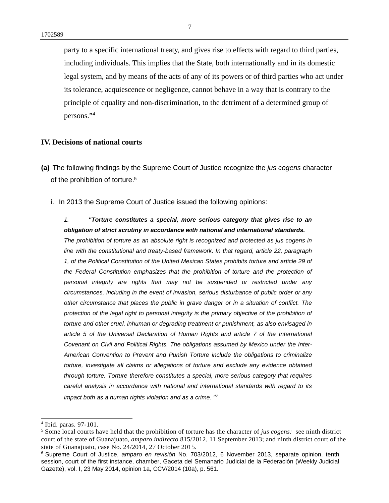party to a specific international treaty, and gives rise to effects with regard to third parties, including individuals. This implies that the State, both internationally and in its domestic legal system, and by means of the acts of any of its powers or of third parties who act under its tolerance, acquiescence or negligence, cannot behave in a way that is contrary to the principle of equality and non-discrimination, to the detriment of a determined group of persons."4

## **IV. Decisions of national courts**

**(a)** The following findings by the Supreme Court of Justice recognize the *jus cogens* character of the prohibition of torture.<sup>5</sup>

*1. "Torture constitutes a special, more serious category that gives rise to an* 

i. In 2013 the Supreme Court of Justice issued the following opinions:

*obligation of strict scrutiny in accordance with national and international standards. The prohibition of torture as an absolute right is recognized and protected as jus cogens in line with the constitutional and treaty-based framework. In that regard, article 22, paragraph 1, of the Political Constitution of the United Mexican States prohibits torture and article 29 of the Federal Constitution emphasizes that the prohibition of torture and the protection of personal integrity are rights that may not be suspended or restricted under any circumstances, including in the event of invasion, serious disturbance of public order or any other circumstance that places the public in grave danger or in a situation of conflict. The protection of the legal right to personal integrity is the primary objective of the prohibition of torture and other cruel, inhuman or degrading treatment or punishment, as also envisaged in article 5 of the Universal Declaration of Human Rights and article 7 of the International Covenant on Civil and Political Rights. The obligations assumed by Mexico under the Inter-American Convention to Prevent and Punish Torture include the obligations to criminalize torture, investigate all claims or allegations of torture and exclude any evidence obtained through torture. Torture therefore constitutes a special, more serious category that requires careful analysis in accordance with national and international standards with regard to its impact both as a human rights violation and as a crime. "<sup>6</sup>*

l

<sup>4</sup> Ibid. paras. 97-101.

<sup>5</sup> Some local courts have held that the prohibition of torture has the character of *jus cogens:* see ninth district court of the state of Guanajuato, *amparo indirecto* 815/2012, 11 September 2013; and ninth district court of the state of Guanajuato, case No. 24/2014, 27 October 2015.

<sup>6</sup> Supreme Court of Justice, *amparo en revisión* No. 703/2012, 6 November 2013, separate opinion, tenth session, court of the first instance, chamber, Gaceta del Semanario Judicial de la Federación (Weekly Judicial Gazette), vol. I, 23 May 2014, opinion 1a, CCV/2014 (10a), p. 561.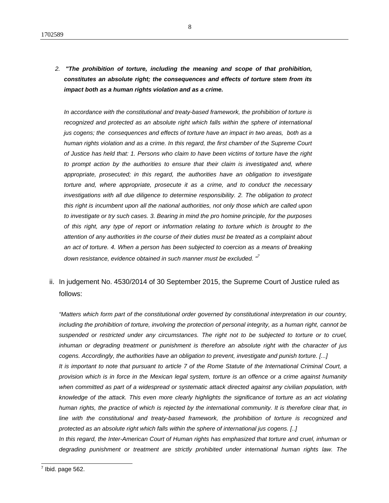*2. "The prohibition of torture, including the meaning and scope of that prohibition, constitutes an absolute right; the consequences and effects of torture stem from its impact both as a human rights violation and as a crime.*

*In accordance with the constitutional and treaty-based framework, the prohibition of torture is*  recognized and protected as an absolute right which falls within the sphere of international *jus cogens; the consequences and effects of torture have an impact in two areas, both as a human rights violation and as a crime. In this regard, the first chamber of the Supreme Court of Justice has held that: 1. Persons who claim to have been victims of torture have the right to prompt action by the authorities to ensure that their claim is investigated and, where appropriate, prosecuted; in this regard, the authorities have an obligation to investigate torture and, where appropriate, prosecute it as a crime, and to conduct the necessary investigations with all due diligence to determine responsibility. 2. The obligation to protect this right is incumbent upon all the national authorities, not only those which are called upon to investigate or try such cases. 3. Bearing in mind the pro homine principle, for the purposes of this right, any type of report or information relating to torture which is brought to the attention of any authorities in the course of their duties must be treated as a complaint about an act of torture. 4. When a person has been subjected to coercion as a means of breaking down resistance, evidence obtained in such manner must be excluded. "<sup>7</sup>*

ii. In judgement No. 4530/2014 of 30 September 2015, the Supreme Court of Justice ruled as follows:

*"Matters which form part of the constitutional order governed by constitutional interpretation in our country,*  including the prohibition of torture, involving the protection of personal integrity, as a human right, cannot be *suspended or restricted under any circumstances. The right not to be subjected to torture or to cruel, inhuman or degrading treatment or punishment is therefore an absolute right with the character of jus cogens. Accordingly, the authorities have an obligation to prevent, investigate and punish torture. [...] It is important to note that pursuant to article 7 of the Rome Statute of the International Criminal Court, a* 

*provision which is in force in the Mexican legal system, torture is an offence or a crime against humanity when committed as part of a widespread or systematic attack directed against any civilian population, with knowledge of the attack. This even more clearly highlights the significance of torture as an act violating human rights, the practice of which is rejected by the international community. It is therefore clear that, in* line with the constitutional and treaty-based framework, the prohibition of torture is recognized and *protected as an absolute right which falls within the sphere of international jus cogens. [..]*

*In this regard, the Inter-American Court of Human rights has emphasized that torture and cruel, inhuman or*  degrading punishment or treatment are strictly prohibited under international human rights law. The

 $\frac{1}{7}$  Ibid. page 562.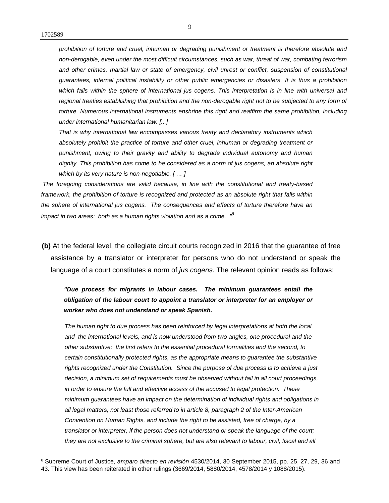*prohibition of torture and cruel, inhuman or degrading punishment or treatment is therefore absolute and non-derogable, even under the most difficult circumstances, such as war, threat of war, combating terrorism and other crimes, martial law or state of emergency, civil unrest or conflict, suspension of constitutional guarantees, internal political instability or other public emergencies or disasters. It is thus a prohibition which falls within the sphere of international jus cogens. This interpretation is in line with universal and*  regional treaties establishing that prohibition and the non-derogable right not to be subjected to any form of *torture. Numerous international instruments enshrine this right and reaffirm the same prohibition, including under international humanitarian law. [...]*

*That is why international law encompasses various treaty and declaratory instruments which absolutely prohibit the practice of torture and other cruel, inhuman or degrading treatment or punishment, owing to their gravity and ability to degrade individual autonomy and human dignity. This prohibition has come to be considered as a norm of jus cogens, an absolute right which by its very nature is non-negotiable. [ … ]*

 *The foregoing considerations are valid because, in line with the constitutional and treaty-based framework, the prohibition of torture is recognized and protected as an absolute right that falls within the sphere of international jus cogens. The consequences and effects of torture therefore have an impact in two areas: both as a human rights violation and as a crime. "<sup>8</sup>*

**(b)** At the federal level, the collegiate circuit courts recognized in 2016 that the guarantee of free assistance by a translator or interpreter for persons who do not understand or speak the language of a court constitutes a norm of *jus cogens*. The relevant opinion reads as follows:

*"Due process for migrants in labour cases. The minimum guarantees entail the obligation of the labour court to appoint a translator or interpreter for an employer or worker who does not understand or speak Spanish.* 

*The human right to due process has been reinforced by legal interpretations at both the local and the international levels, and is now understood from two angles, one procedural and the other substantive: the first refers to the essential procedural formalities and the second, to certain constitutionally protected rights, as the appropriate means to guarantee the substantive rights recognized under the Constitution. Since the purpose of due process is to achieve a just decision, a minimum set of requirements must be observed without fail in all court proceedings, in order to ensure the full and effective access of the accused to legal protection. These minimum guarantees have an impact on the determination of individual rights and obligations in all legal matters, not least those referred to in article 8, paragraph 2 of the Inter-American Convention on Human Rights, and include the right to be assisted, free of charge, by a translator or interpreter, if the person does not understand or speak the language of the court; they are not exclusive to the criminal sphere, but are also relevant to labour, civil, fiscal and all* 

<sup>8</sup> Supreme Court of Justice, *amparo directo en revisión* 4530/2014, 30 September 2015, pp. 25, 27, 29, 36 and 43. This view has been reiterated in other rulings (3669/2014, 5880/2014, 4578/2014 y 1088/2015).